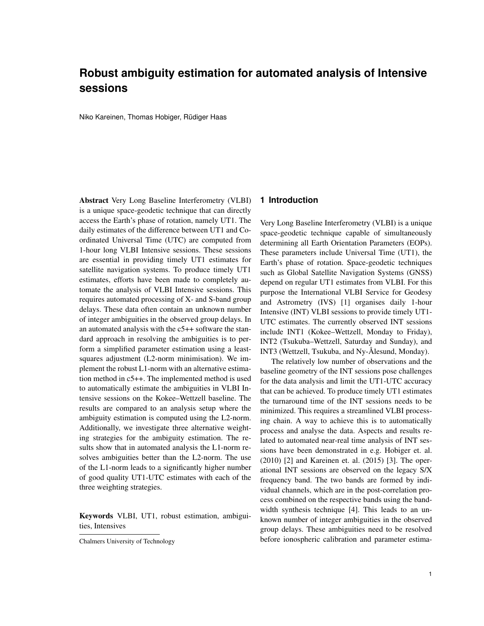# **Robust ambiguity estimation for automated analysis of Intensive sessions**

Niko Kareinen, Thomas Hobiger, Rüdiger Haas

Abstract Very Long Baseline Interferometry (VLBI) is a unique space-geodetic technique that can directly access the Earth's phase of rotation, namely UT1. The daily estimates of the difference between UT1 and Coordinated Universal Time (UTC) are computed from 1-hour long VLBI Intensive sessions. These sessions are essential in providing timely UT1 estimates for satellite navigation systems. To produce timely UT1 estimates, efforts have been made to completely automate the analysis of VLBI Intensive sessions. This requires automated processing of X- and S-band group delays. These data often contain an unknown number of integer ambiguities in the observed group delays. In an automated analysis with the c5++ software the standard approach in resolving the ambiguities is to perform a simplified parameter estimation using a leastsquares adjustment (L2-norm minimisation). We implement the robust L1-norm with an alternative estimation method in c5++. The implemented method is used to automatically estimate the ambiguities in VLBI Intensive sessions on the Kokee–Wettzell baseline. The results are compared to an analysis setup where the ambiguity estimation is computed using the L2-norm. Additionally, we investigate three alternative weighting strategies for the ambiguity estimation. The results show that in automated analysis the L1-norm resolves ambiguities better than the L2-norm. The use of the L1-norm leads to a significantly higher number of good quality UT1-UTC estimates with each of the three weighting strategies.

Keywords VLBI, UT1, robust estimation, ambiguities, Intensives

## **1 Introduction**

Very Long Baseline Interferometry (VLBI) is a unique space-geodetic technique capable of simultaneously determining all Earth Orientation Parameters (EOPs). These parameters include Universal Time (UT1), the Earth's phase of rotation. Space-geodetic techniques such as Global Satellite Navigation Systems (GNSS) depend on regular UT1 estimates from VLBI. For this purpose the International VLBI Service for Geodesy and Astrometry (IVS) [1] organises daily 1-hour Intensive (INT) VLBI sessions to provide timely UT1- UTC estimates. The currently observed INT sessions include INT1 (Kokee–Wettzell, Monday to Friday), INT2 (Tsukuba–Wettzell, Saturday and Sunday), and INT3 (Wettzell, Tsukuba, and Ny-Ålesund, Monday).

The relatively low number of observations and the baseline geometry of the INT sessions pose challenges for the data analysis and limit the UT1-UTC accuracy that can be achieved. To produce timely UT1 estimates the turnaround time of the INT sessions needs to be minimized. This requires a streamlined VLBI processing chain. A way to achieve this is to automatically process and analyse the data. Aspects and results related to automated near-real time analysis of INT sessions have been demonstrated in e.g. Hobiger et. al. (2010) [2] and Kareinen et. al. (2015) [3]. The operational INT sessions are observed on the legacy S/X frequency band. The two bands are formed by individual channels, which are in the post-correlation process combined on the respective bands using the bandwidth synthesis technique [4]. This leads to an unknown number of integer ambiguities in the observed group delays. These ambiguities need to be resolved before ionospheric calibration and parameter estima-

Chalmers University of Technology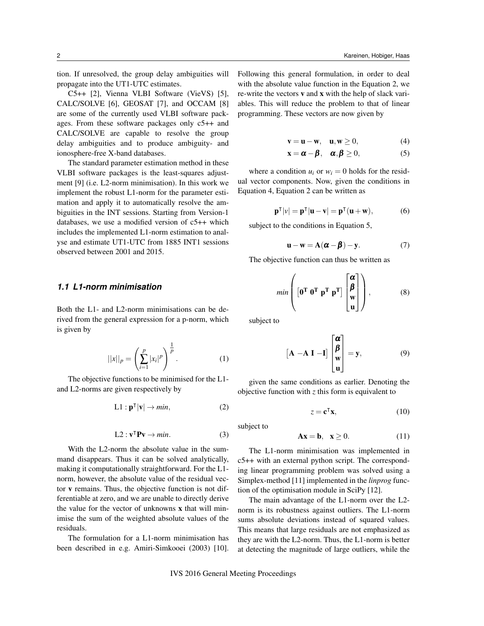tion. If unresolved, the group delay ambiguities will propagate into the UT1-UTC estimates.

C5++ [2], Vienna VLBI Software (VieVS) [5], CALC/SOLVE [6], GEOSAT [7], and OCCAM [8] are some of the currently used VLBI software packages. From these software packages only c5++ and CALC/SOLVE are capable to resolve the group delay ambiguities and to produce ambiguity- and ionosphere-free X-band databases.

The standard parameter estimation method in these VLBI software packages is the least-squares adjustment [9] (i.e. L2-norm minimisation). In this work we implement the robust L1-norm for the parameter estimation and apply it to automatically resolve the ambiguities in the INT sessions. Starting from Version-1 databases, we use a modified version of c5++ which includes the implemented L1-norm estimation to analyse and estimate UT1-UTC from 1885 INT1 sessions observed between 2001 and 2015.

# *1.1 L1-norm minimisation*

Both the L1- and L2-norm minimisations can be derived from the general expression for a p-norm, which is given by

$$
||x||_p = \left(\sum_{i=1}^p |x_i|^p\right)^{\frac{1}{p}}.
$$
 (1)

The objective functions to be minimised for the L1 and L2-norms are given respectively by

$$
L1: \mathbf{p}^\mathsf{T}|\mathbf{v}| \to \min,\tag{2}
$$

$$
L2: \mathbf{v}^{\mathsf{T}} \mathbf{P} \mathbf{v} \to \min. \tag{3}
$$

With the L2-norm the absolute value in the summand disappears. Thus it can be solved analytically, making it computationally straightforward. For the L1 norm, however, the absolute value of the residual vector v remains. Thus, the objective function is not differentiable at zero, and we are unable to directly derive the value for the vector of unknowns x that will minimise the sum of the weighted absolute values of the residuals.

The formulation for a L1-norm minimisation has been described in e.g. Amiri-Simkooei (2003) [10]. Following this general formulation, in order to deal with the absolute value function in the Equation 2, we re-write the vectors v and x with the help of slack variables. This will reduce the problem to that of linear programming. These vectors are now given by

$$
\mathbf{v} = \mathbf{u} - \mathbf{w}, \quad \mathbf{u}, \mathbf{w} \ge 0,\tag{4}
$$

$$
\mathbf{x} = \boldsymbol{\alpha} - \boldsymbol{\beta}, \quad \boldsymbol{\alpha}, \boldsymbol{\beta} \ge 0,\tag{5}
$$

where a condition  $u_i$  or  $w_i = 0$  holds for the residual vector components. Now, given the conditions in Equation 4, Equation 2 can be written as

$$
\mathbf{p}^{\mathsf{T}}|\mathbf{v}| = \mathbf{p}^{\mathsf{T}}|\mathbf{u} - \mathbf{v}| = \mathbf{p}^{\mathsf{T}}(\mathbf{u} + \mathbf{w}),\tag{6}
$$

subject to the conditions in Equation 5,

$$
\mathbf{u} - \mathbf{w} = \mathbf{A}(\boldsymbol{\alpha} - \boldsymbol{\beta}) - \mathbf{y}.
$$
 (7)

The objective function can thus be written as

$$
min\left( \begin{bmatrix} \mathbf{0}^{\mathrm{T}} & \mathbf{0}^{\mathrm{T}} & \mathbf{p}^{\mathrm{T}} \end{bmatrix} \begin{bmatrix} \mathbf{\alpha} \\ \mathbf{\beta} \\ \mathbf{w} \\ \mathbf{u} \end{bmatrix} \right), \tag{8}
$$

subject to

$$
\begin{bmatrix} \mathbf{A} - \mathbf{A} \mathbf{I} - \mathbf{I} \end{bmatrix} \begin{bmatrix} \mathbf{\alpha} \\ \mathbf{\beta} \\ \mathbf{w} \\ \mathbf{u} \end{bmatrix} = \mathbf{y}, \tag{9}
$$

given the same conditions as earlier. Denoting the objective function with *z* this form is equivalent to

$$
z = \mathbf{c}^\mathsf{T} \mathbf{x},\tag{10}
$$

subject to

$$
\mathbf{A}\mathbf{x} = \mathbf{b}, \quad \mathbf{x} \ge 0. \tag{11}
$$

The L1-norm minimisation was implemented in c5++ with an external python script. The corresponding linear programming problem was solved using a Simplex-method [11] implemented in the *linprog* function of the optimisation module in SciPy [12].

The main advantage of the L1-norm over the L2 norm is its robustness against outliers. The L1-norm sums absolute deviations instead of squared values. This means that large residuals are not emphasized as they are with the L2-norm. Thus, the L1-norm is better at detecting the magnitude of large outliers, while the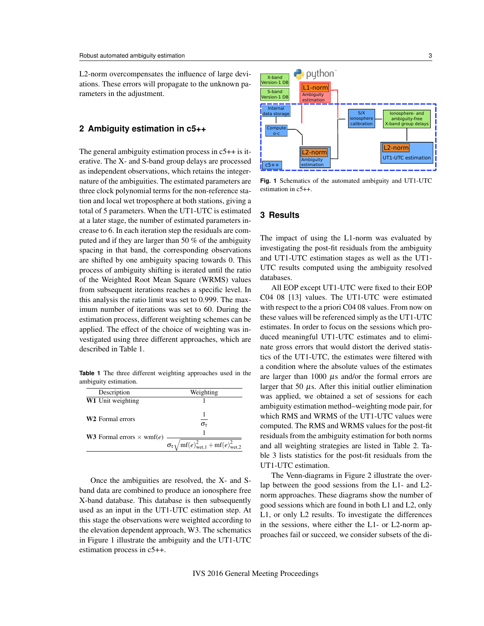L2-norm overcompensates the influence of large deviations. These errors will propagate to the unknown parameters in the adjustment.

#### **2 Ambiguity estimation in c5++**

The general ambiguity estimation process in c5++ is iterative. The X- and S-band group delays are processed as independent observations, which retains the integernature of the ambiguities. The estimated parameters are three clock polynomial terms for the non-reference station and local wet troposphere at both stations, giving a total of 5 parameters. When the UT1-UTC is estimated at a later stage, the number of estimated parameters increase to 6. In each iteration step the residuals are computed and if they are larger than 50 % of the ambiguity spacing in that band, the corresponding observations are shifted by one ambiguity spacing towards 0. This process of ambiguity shifting is iterated until the ratio of the Weighted Root Mean Square (WRMS) values from subsequent iterations reaches a specific level. In this analysis the ratio limit was set to 0.999. The maximum number of iterations was set to 60. During the estimation process, different weighting schemes can be applied. The effect of the choice of weighting was investigated using three different approaches, which are described in Table 1.

**Table 1** The three different weighting approaches used in the ambiguity estimation.

| Description                                                                 | Weighting                                                                            |  |  |
|-----------------------------------------------------------------------------|--------------------------------------------------------------------------------------|--|--|
| <b>W1</b> Unit weighting                                                    |                                                                                      |  |  |
| <b>W2</b> Formal errors<br><b>W3</b> Formal errors $\times$ wmf( <i>e</i> ) | $\sigma_{\tau}$                                                                      |  |  |
|                                                                             | $\sigma_{\tau} \sqrt{\text{mf}(e)^2_{\text{wet.1}}} + \text{mf}(e)^2_{\text{wet.2}}$ |  |  |

Once the ambiguities are resolved, the X- and Sband data are combined to produce an ionosphere free X-band database. This database is then subsequently used as an input in the UT1-UTC estimation step. At this stage the observations were weighted according to the elevation dependent approach, W3. The schematics in Figure 1 illustrate the ambiguity and the UT1-UTC estimation process in c5++.



**Fig. 1** Schematics of the automated ambiguity and UT1-UTC estimation in c5++.

#### **3 Results**

The impact of using the L1-norm was evaluated by investigating the post-fit residuals from the ambiguity and UT1-UTC estimation stages as well as the UT1- UTC results computed using the ambiguity resolved databases.

All EOP except UT1-UTC were fixed to their EOP C04 08 [13] values. The UT1-UTC were estimated with respect to the a priori C04 08 values. From now on these values will be referenced simply as the UT1-UTC estimates. In order to focus on the sessions which produced meaningful UT1-UTC estimates and to eliminate gross errors that would distort the derived statistics of the UT1-UTC, the estimates were filtered with a condition where the absolute values of the estimates are larger than 1000  $\mu$ s and/or the formal errors are larger that 50  $\mu$ s. After this initial outlier elimination was applied, we obtained a set of sessions for each ambiguity estimation method–weighting mode pair, for which RMS and WRMS of the UT1-UTC values were computed. The RMS and WRMS values for the post-fit residuals from the ambiguity estimation for both norms and all weighting strategies are listed in Table 2. Table 3 lists statistics for the post-fit residuals from the UT1-UTC estimation.

The Venn-diagrams in Figure 2 illustrate the overlap between the good sessions from the L1- and L2 norm approaches. These diagrams show the number of good sessions which are found in both L1 and L2, only L1, or only L2 results. To investigate the differences in the sessions, where either the L1- or L2-norm approaches fail or succeed, we consider subsets of the di-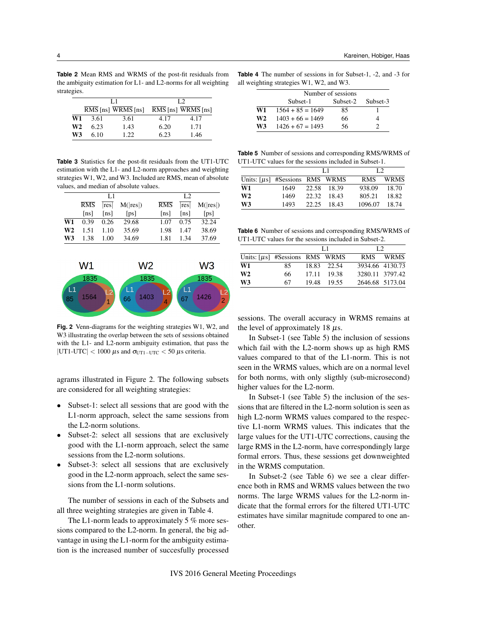**Table 2** Mean RMS and WRMS of the post-fit residuals from the ambiguity estimation for L1- and L2-norms for all weighting strategies.

|                |      | I .1                                         | L2   |                                 |  |  |
|----------------|------|----------------------------------------------|------|---------------------------------|--|--|
|                |      | $\overline{RMS}$ [ns] $\overline{WRMS}$ [ns] |      | $\overline{RMS}$ [ns] WRMS [ns] |  |  |
| W1             | 3.61 | 3.61                                         | 4.17 | 4.17                            |  |  |
| W <sub>2</sub> | 6.23 | 1.43                                         | 6.20 | 1.71                            |  |  |
| W <sub>3</sub> | 6.10 | 1.22.                                        | 6.23 | 1.46                            |  |  |

**Table 3** Statistics for the post-fit residuals from the UT1-UTC estimation with the L1- and L2-norm approaches and weighting strategies W1, W2, and W3. Included are RMS, mean of absolute values, and median of absolute values.

|    |      | LI   |                           |      | L <sub>2</sub> |                           |
|----|------|------|---------------------------|------|----------------|---------------------------|
|    | RMS  |      | $ res $ M( $ res $ )      | RMS  |                | $ res $ M( $ res $ )      |
|    | [ns] | [ns] | $\lceil \text{ps} \rceil$ | [ns] | [ns]           | $\lceil \text{ps} \rceil$ |
| W1 | 0.39 | 0.26 | 29.68                     | 1.07 | 0.75           | 32.24                     |
| W2 | 1.51 | 1.10 | 35.69                     | 1.98 | 1.47           | 38.69                     |
| W3 | 1.38 | 1.00 | 34.69                     | 1.81 | 1.34           | 37.69                     |



**Fig. 2** Venn-diagrams for the weighting strategies W1, W2, and W3 illustrating the overlap between the sets of sessions obtained with the L1- and L2-norm ambiguity estimation, that pass the |UT1-UTC| < 1000  $\mu$ s and  $\sigma_{\text{UT1-UTC}}$  < 50  $\mu$ s criteria.

agrams illustrated in Figure 2. The following subsets are considered for all weighting strategies:

- Subset-1: select all sessions that are good with the L1-norm approach, select the same sessions from the L2-norm solutions.
- Subset-2: select all sessions that are exclusively good with the L1-norm approach, select the same sessions from the L2-norm solutions.
- Subset-3: select all sessions that are exclusively good in the L2-norm approach, select the same sessions from the L1-norm solutions.

The number of sessions in each of the Subsets and all three weighting strategies are given in Table 4.

The L1-norm leads to approximately 5 % more sessions compared to the L2-norm. In general, the big advantage in using the L1-norm for the ambiguity estimation is the increased number of succesfully processed **Table 4** The number of sessions in for Subset-1, -2, and -3 for all weighting strategies W1, W2, and W3.

|    | Number of sessions |          |          |  |  |
|----|--------------------|----------|----------|--|--|
|    | Subset-1           | Subset-2 | Subset-3 |  |  |
| W1 | $1564 + 85 = 1649$ | 85       |          |  |  |
| W2 | $1403 + 66 = 1469$ | 66       |          |  |  |
| W3 | $1426 + 67 = 1493$ | 56       |          |  |  |

**Table 5** Number of sessions and corresponding RMS/WRMS of UT1-UTC values for the sessions included in Subset-1.

|                                     |      | T.1   |             | L2         |             |
|-------------------------------------|------|-------|-------------|------------|-------------|
| Units: $[\mu s]$ #Sessions RMS WRMS |      |       |             | <b>RMS</b> | <b>WRMS</b> |
| W1                                  | 1649 |       | 22.58 18.39 | 938.09     | 18.70       |
| W <sub>2</sub>                      | 1469 | 22.32 | - 18.43     | 805.21     | 18.82       |
| W3                                  | 1493 | 22.25 | 18.43       | 1096.07    | 18.74       |

**Table 6** Number of sessions and corresponding RMS/WRMS of UT1-UTC values for the sessions included in Subset-2.

|                                     |    | I .1 |             | L2              |             |
|-------------------------------------|----|------|-------------|-----------------|-------------|
| Units: $[\mu s]$ #Sessions RMS WRMS |    |      |             | <b>RMS</b>      | <b>WRMS</b> |
| W1                                  | 85 |      | 18.83 22.54 | 3934.66 4130.73 |             |
| W <sub>2</sub>                      | 66 |      | 17.11 19.38 | 3280.11 3797.42 |             |
| W3                                  | 67 |      | 19.48 19.55 | 2646.68 5173.04 |             |

sessions. The overall accuracy in WRMS remains at the level of approximately 18  $\mu$ s.

In Subset-1 (see Table 5) the inclusion of sessions which fail with the L2-norm shows up as high RMS values compared to that of the L1-norm. This is not seen in the WRMS values, which are on a normal level for both norms, with only sligthly (sub-microsecond) higher values for the L2-norm.

In Subset-1 (see Table 5) the inclusion of the sessions that are filtered in the L2-norm solution is seen as high L2-norm WRMS values compared to the respective L1-norm WRMS values. This indicates that the large values for the UT1-UTC corrections, causing the large RMS in the L2-norm, have correspondingly large formal errors. Thus, these sessions get downweighted in the WRMS computation.

In Subset-2 (see Table 6) we see a clear difference both in RMS and WRMS values between the two norms. The large WRMS values for the L2-norm indicate that the formal errors for the filtered UT1-UTC estimates have similar magnitude compared to one another.